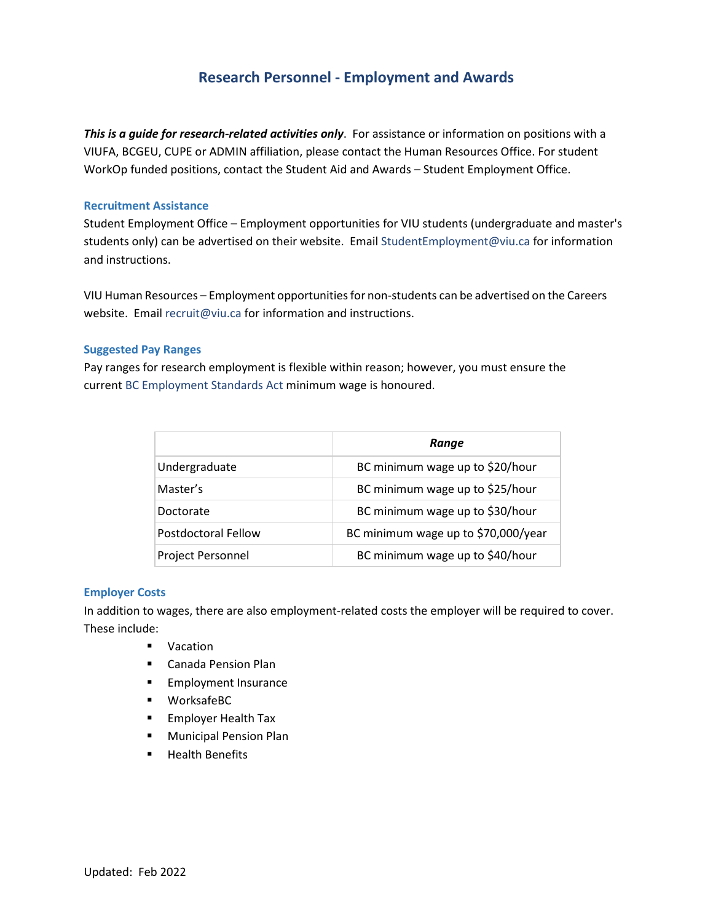# **Research Personnel - Employment and Awards**

*This is a guide for research-related activities only*. For assistance or information on positions with a VIUFA, BCGEU, CUPE or ADMIN affiliation, please contact the Human Resources Office. For student WorkOp funded positions, contact the Student Aid and Awards – Student Employment Office.

### **Recruitment Assistance**

Student Employment Office – Employment opportunities for VIU students (undergraduate and master's students only) can be advertised on their website. Email [StudentEmployment@viu.ca](mailto:StudentEmployment@viu.ca) for information and instructions.

VIU Human Resources – Employment opportunitiesfor non-students can be advertised on the Careers website. Email [recruit@viu.ca](mailto:recruit@viu.ca) for information and instructions.

## **Suggested Pay Ranges**

Pay ranges for research employment is flexible within reason; however, you must ensure the curren[t BC Employment Standards Act](https://www2.gov.bc.ca/gov/content/employment-business/employment-standards-advice/employment-standards/wages/minimum-wage) minimum wage is honoured.

|                          | Range                               |
|--------------------------|-------------------------------------|
| Undergraduate            | BC minimum wage up to \$20/hour     |
| Master's                 | BC minimum wage up to \$25/hour     |
| Doctorate                | BC minimum wage up to \$30/hour     |
| Postdoctoral Fellow      | BC minimum wage up to \$70,000/year |
| <b>Project Personnel</b> | BC minimum wage up to \$40/hour     |

### **Employer Costs**

In addition to wages, there are also employment-related costs the employer will be required to cover. These include:

- **vacation**
- Canada Pension Plan
- **Employment Insurance**
- WorksafeBC
- **Employer Health Tax**
- **Nunicipal Pension Plan**
- **Health Benefits**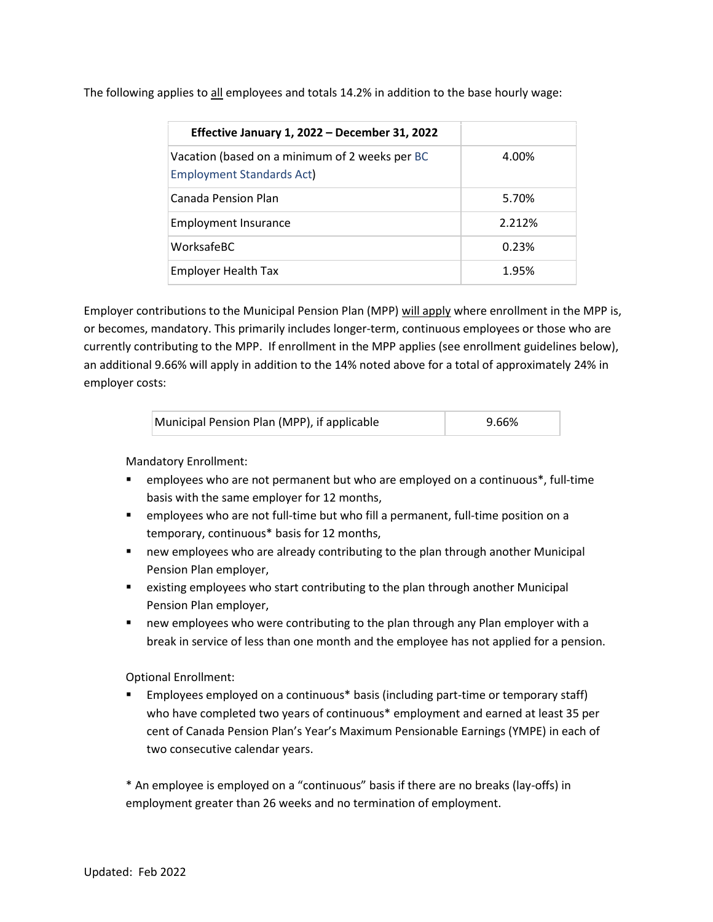The following applies to all employees and totals 14.2% in addition to the base hourly wage:

| Effective January 1, 2022 - December 31, 2022                                      |        |
|------------------------------------------------------------------------------------|--------|
| Vacation (based on a minimum of 2 weeks per BC<br><b>Employment Standards Act)</b> | 4.00%  |
| Canada Pension Plan                                                                | 5.70%  |
| <b>Employment Insurance</b>                                                        | 2.212% |
| WorksafeBC                                                                         | 0.23%  |
| <b>Employer Health Tax</b>                                                         | 1.95%  |

Employer contributions to the Municipal Pension Plan (MPP) will apply where enrollment in the MPP is, or becomes, mandatory. This primarily includes longer-term, continuous employees or those who are currently contributing to the MPP. If enrollment in the MPP applies (see enrollment guidelines below), an additional 9.66% will apply in addition to the 14% noted above for a total of approximately 24% in employer costs:

| Municipal Pension Plan (MPP), if applicable | 9.66% |  |
|---------------------------------------------|-------|--|
|                                             |       |  |
|                                             |       |  |

Mandatory Enrollment:

- employees who are not permanent but who are employed on a continuous\*, full-time basis with the same employer for 12 months,
- employees who are not full-time but who fill a permanent, full-time position on a temporary, continuous\* basis for 12 months,
- new employees who are already contributing to the plan through another Municipal Pension Plan employer,
- existing employees who start contributing to the plan through another Municipal Pension Plan employer,
- **new employees who were contributing to the plan through any Plan employer with a** break in service of less than one month and the employee has not applied for a pension.

Optional Enrollment:

 Employees employed on a continuous\* basis (including part-time or temporary staff) who have completed two years of continuous\* employment and earned at least 35 per cent of Canada Pension Plan's Year's Maximum Pensionable Earnings (YMPE) in each of two consecutive calendar years.

\* An employee is employed on a "continuous" basis if there are no breaks (lay-offs) in employment greater than 26 weeks and no termination of employment.